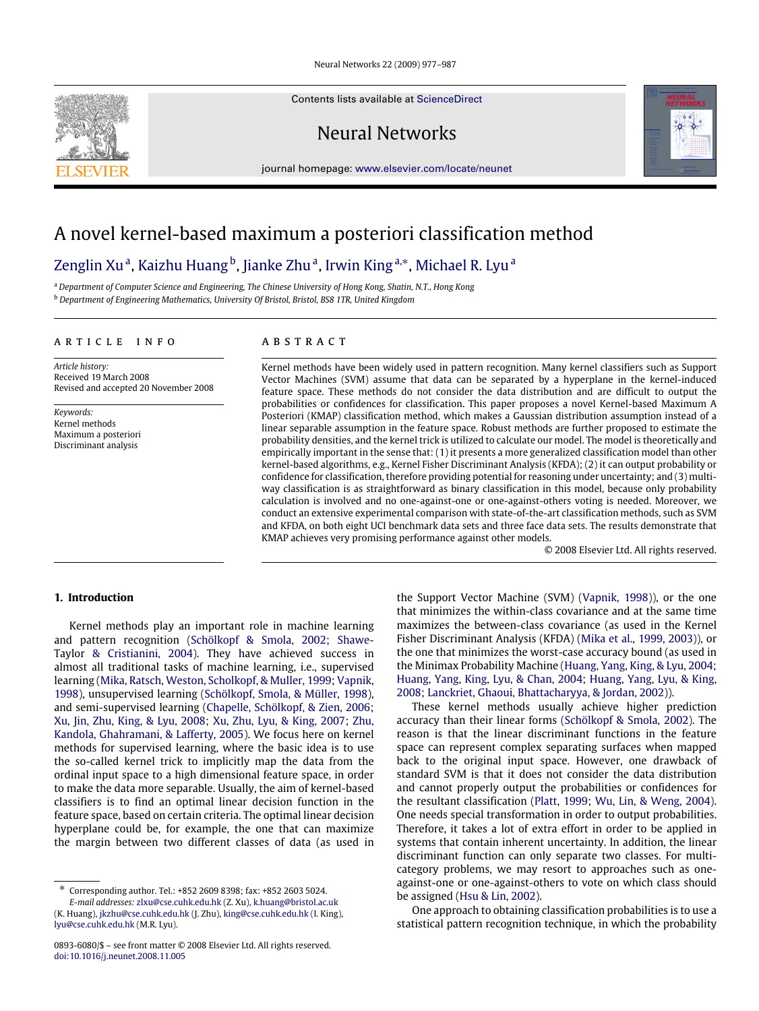Neural Networks 22 (2009) 977–987

Contents lists available at [ScienceDirect](http://www.elsevier.com/locate/neunet)

Neural Networks





# A novel kernel-based maximum a posteriori classification method

## Zenglin Xu<sup>a</sup>, Kaizhu Huang<sup>b</sup>, Jianke Zhu<sup>a</sup>, Irwin King<sup>a,</sup>\*, Michael R. Lyu<sup>a</sup>

<sup>a</sup> *Department of Computer Science and Engineering, The Chinese University of Hong Kong, Shatin, N.T., Hong Kong* <sup>b</sup> *Department of Engineering Mathematics, University Of Bristol, Bristol, BS8 1TR, United Kingdom*

## ARTICLE INFO

*Article history:* Received 19 March 2008 Revised and accepted 20 November 2008

*Keywords:* Kernel methods Maximum a posteriori Discriminant analysis

## A R S T R A C T

Kernel methods have been widely used in pattern recognition. Many kernel classifiers such as Support Vector Machines (SVM) assume that data can be separated by a hyperplane in the kernel-induced feature space. These methods do not consider the data distribution and are difficult to output the probabilities or confidences for classification. This paper proposes a novel Kernel-based Maximum A Posteriori (KMAP) classification method, which makes a Gaussian distribution assumption instead of a linear separable assumption in the feature space. Robust methods are further proposed to estimate the probability densities, and the kernel trick is utilized to calculate our model. The model is theoretically and empirically important in the sense that: (1) it presents a more generalized classification model than other kernel-based algorithms, e.g., Kernel Fisher Discriminant Analysis (KFDA); (2) it can output probability or confidence for classification, therefore providing potential for reasoning under uncertainty; and (3) multiway classification is as straightforward as binary classification in this model, because only probability calculation is involved and no one-against-one or one-against-others voting is needed. Moreover, we conduct an extensive experimental comparison with state-of-the-art classification methods, such as SVM and KFDA, on both eight UCI benchmark data sets and three face data sets. The results demonstrate that KMAP achieves very promising performance against other models.

© 2008 Elsevier Ltd. All rights reserved.

## **1. Introduction**

Kernel methods play an important role in machine learning and pattern recognition (Schölkopf & Smola, 2002; Shawe-Taylor & Cristianini, 2004). They have achieved success in almost all traditional tasks of machine learning, i.e., supervised learning (Mika, Ratsch, Weston, Scholkopf, & Muller, 1999; Vapnik, 1998), unsupervised learning (Schölkopf, Smola, & Müller, 1998), and semi-supervised learning (Chapelle, Schölkopf, & Zien, 2006; Xu, Jin, Zhu, King, & Lyu, 2008; Xu, Zhu, Lyu, & King, 2007; Zhu, Kandola, Ghahramani, & Lafferty, 2005). We focus here on kernel methods for supervised learning, where the basic idea is to use the so-called kernel trick to implicitly map the data from the ordinal input space to a high dimensional feature space, in order to make the data more separable. Usually, the aim of kernel-based classifiers is to find an optimal linear decision function in the feature space, based on certain criteria. The optimal linear decision hyperplane could be, for example, the one that can maximize the margin between two different classes of data (as used in

∗ Corresponding author. Tel.: +852 2609 8398; fax: +852 2603 5024.

*E-mail addresses:* [zlxu@cse.cuhk.edu.hk](mailto:zlxu@cse.cuhk.edu.hk) (Z. Xu), [k.huang@bristol.ac.uk](mailto:k.huang@bristol.ac.uk)

(K. Huang), [jkzhu@cse.cuhk.edu.hk](mailto:jkzhu@cse.cuhk.edu.hk) (J. Zhu), [king@cse.cuhk.edu.hk](mailto:king@cse.cuhk.edu.hk) (I. King), [lyu@cse.cuhk.edu.hk](mailto:lyu@cse.cuhk.edu.hk) (M.R. Lyu).

the Support Vector Machine (SVM) (Vapnik, 1998)), or the one that minimizes the within-class covariance and at the same time maximizes the between-class covariance (as used in the Kernel Fisher Discriminant Analysis (KFDA) (Mika et al., 1999, 2003)), or the one that minimizes the worst-case accuracy bound (as used in the Minimax Probability Machine (Huang, Yang, King, & Lyu, 2004; Huang, Yang, King, Lyu, & Chan, 2004; Huang, Yang, Lyu, & King, 2008; Lanckriet, Ghaoui, Bhattacharyya, & Jordan, 2002)).

These kernel methods usually achieve higher prediction accuracy than their linear forms (Schölkopf & Smola, 2002). The reason is that the linear discriminant functions in the feature space can represent complex separating surfaces when mapped back to the original input space. However, one drawback of standard SVM is that it does not consider the data distribution and cannot properly output the probabilities or confidences for the resultant classification (Platt, 1999; Wu, Lin, & Weng, 2004). One needs special transformation in order to output probabilities. Therefore, it takes a lot of extra effort in order to be applied in systems that contain inherent uncertainty. In addition, the linear discriminant function can only separate two classes. For multicategory problems, we may resort to approaches such as oneagainst-one or one-against-others to vote on which class should be assigned (Hsu & Lin, 2002).

One approach to obtaining classification probabilities is to use a statistical pattern recognition technique, in which the probability

<sup>0893-6080/\$ –</sup> see front matter © 2008 Elsevier Ltd. All rights reserved. [doi:10.1016/j.neunet.2008.11.005](http://dx.doi.org/10.1016/j.neunet.2008.11.005)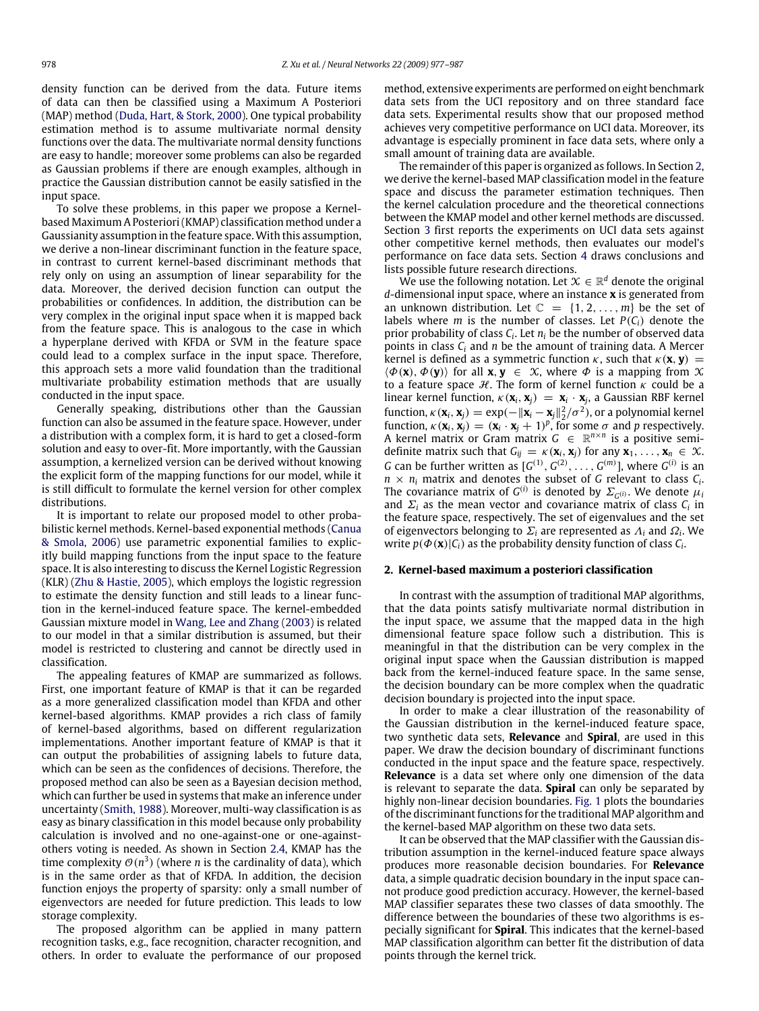density function can be derived from the data. Future items of data can then be classified using a Maximum A Posteriori (MAP) method (Duda, Hart, & Stork, 2000). One typical probability estimation method is to assume multivariate normal density functions over the data. The multivariate normal density functions are easy to handle; moreover some problems can also be regarded as Gaussian problems if there are enough examples, although in practice the Gaussian distribution cannot be easily satisfied in the input space.

To solve these problems, in this paper we propose a Kernelbased Maximum A Posteriori (KMAP) classification method under a Gaussianity assumption in the feature space. With this assumption, we derive a non-linear discriminant function in the feature space, in contrast to current kernel-based discriminant methods that rely only on using an assumption of linear separability for the data. Moreover, the derived decision function can output the probabilities or confidences. In addition, the distribution can be very complex in the original input space when it is mapped back from the feature space. This is analogous to the case in which a hyperplane derived with KFDA or SVM in the feature space could lead to a complex surface in the input space. Therefore, this approach sets a more valid foundation than the traditional multivariate probability estimation methods that are usually conducted in the input space.

Generally speaking, distributions other than the Gaussian function can also be assumed in the feature space. However, under a distribution with a complex form, it is hard to get a closed-form solution and easy to over-fit. More importantly, with the Gaussian assumption, a kernelized version can be derived without knowing the explicit form of the mapping functions for our model, while it is still difficult to formulate the kernel version for other complex distributions.

It is important to relate our proposed model to other probabilistic kernel methods. Kernel-based exponential methods (Canua & Smola, 2006) use parametric exponential families to explicitly build mapping functions from the input space to the feature space. It is also interesting to discuss the Kernel Logistic Regression (KLR) (Zhu & Hastie, 2005), which employs the logistic regression to estimate the density function and still leads to a linear function in the kernel-induced feature space. The kernel-embedded Gaussian mixture model in Wang, Lee and Zhang (2003) is related to our model in that a similar distribution is assumed, but their model is restricted to clustering and cannot be directly used in classification.

The appealing features of KMAP are summarized as follows. First, one important feature of KMAP is that it can be regarded as a more generalized classification model than KFDA and other kernel-based algorithms. KMAP provides a rich class of family of kernel-based algorithms, based on different regularization implementations. Another important feature of KMAP is that it can output the probabilities of assigning labels to future data, which can be seen as the confidences of decisions. Therefore, the proposed method can also be seen as a Bayesian decision method, which can further be used in systems that make an inference under uncertainty (Smith, 1988). Moreover, multi-way classification is as easy as binary classification in this model because only probability calculation is involved and no one-against-one or one-againstothers voting is needed. As shown in Section 2.4, KMAP has the time complexity  $\mathcal{O}(n^3)$  (where *n* is the cardinality of data), which is in the same order as that of KFDA. In addition, the decision function enjoys the property of sparsity: only a small number of eigenvectors are needed for future prediction. This leads to low storage complexity.

The proposed algorithm can be applied in many pattern recognition tasks, e.g., face recognition, character recognition, and others. In order to evaluate the performance of our proposed

method, extensive experiments are performed on eight benchmark data sets from the UCI repository and on three standard face data sets. Experimental results show that our proposed method achieves very competitive performance on UCI data. Moreover, its advantage is especially prominent in face data sets, where only a small amount of training data are available.

The remainder of this paper is organized as follows. In Section 2, we derive the kernel-based MAP classification model in the feature space and discuss the parameter estimation techniques. Then the kernel calculation procedure and the theoretical connections between the KMAP model and other kernel methods are discussed. Section 3 first reports the experiments on UCI data sets against other competitive kernel methods, then evaluates our model's performance on face data sets. Section 4 draws conclusions and lists possible future research directions.

We use the following notation. Let  $\mathcal{X} \in \mathbb{R}^d$  denote the original *d*-dimensional input space, where an instance **x** is generated from an unknown distribution. Let  $\mathbb{C} = \{1, 2, ..., m\}$  be the set of labels where *m* is the number of classes. Let  $P(C_i)$  denote the prior probability of class *C<sup>i</sup>* . Let *n<sup>i</sup>* be the number of observed data points in class *C<sup>i</sup>* and *n* be the amount of training data. A Mercer kernel is defined as a symmetric function  $\kappa$ , such that  $\kappa$ (**x**, **y**) =  $\langle \Phi(\mathbf{x}), \Phi(\mathbf{y}) \rangle$  for all **x**, **y**  $\in \mathcal{X}$ , where  $\Phi$  is a mapping from  $\mathcal{X}$ to a feature space  $H$ . The form of kernel function  $\kappa$  could be a linear kernel function,  $\kappa(\mathbf{x}_i, \mathbf{x}_j) = \mathbf{x}_i \cdot \mathbf{x}_j$ , a Gaussian RBF kernel function,  $\kappa(\mathbf{x}_i, \mathbf{x}_j) = \exp(-\|\mathbf{x}_i - \mathbf{x}_j\|_2^2 / \sigma^2)$ , or a polynomial kernel function,  $\kappa(\mathbf{x}_i, \mathbf{x}_j) = (\mathbf{x}_i \cdot \mathbf{x}_j + 1)^p$ , for some  $\sigma$  and  $p$  respectively. A kernel matrix or Gram matrix  $G \in \mathbb{R}^{n \times n}$  is a positive semidefinite matrix such that  $G_{ij} = \kappa(\mathbf{x}_i, \mathbf{x}_j)$  for any  $\mathbf{x}_1, \ldots, \mathbf{x}_n \in \mathcal{X}$ . *G* can be further written as  $[G^{(1)}, G^{(2)}, \ldots, G^{(m)}]$ , where  $G^{(i)}$  is an  $n \times n_i$  matrix and denotes the subset of *G* relevant to class  $C_i$ . The covariance matrix of  $G^{(i)}$  is denoted by  $\Sigma_{G^{(i)}}$ . We denote  $\mu_i$ and  $\Sigma_i$  as the mean vector and covariance matrix of class  $C_i$  in the feature space, respectively. The set of eigenvalues and the set of eigenvectors belonging to  $\Sigma_i$  are represented as  $\Lambda_i$  and  $\Omega_i$ . We write  $p(\Phi(\mathbf{x})|C_i)$  as the probability density function of class  $C_i$ .

## **2. Kernel-based maximum a posteriori classification**

In contrast with the assumption of traditional MAP algorithms, that the data points satisfy multivariate normal distribution in the input space, we assume that the mapped data in the high dimensional feature space follow such a distribution. This is meaningful in that the distribution can be very complex in the original input space when the Gaussian distribution is mapped back from the kernel-induced feature space. In the same sense, the decision boundary can be more complex when the quadratic decision boundary is projected into the input space.

In order to make a clear illustration of the reasonability of the Gaussian distribution in the kernel-induced feature space, two synthetic data sets, **Relevance** and **Spiral**, are used in this paper. We draw the decision boundary of discriminant functions conducted in the input space and the feature space, respectively. **Relevance** is a data set where only one dimension of the data is relevant to separate the data. **Spiral** can only be separated by highly non-linear decision boundaries. Fig. 1 plots the boundaries of the discriminant functions for the traditional MAP algorithm and the kernel-based MAP algorithm on these two data sets.

It can be observed that the MAP classifier with the Gaussian distribution assumption in the kernel-induced feature space always produces more reasonable decision boundaries. For **Relevance** data, a simple quadratic decision boundary in the input space cannot produce good prediction accuracy. However, the kernel-based MAP classifier separates these two classes of data smoothly. The difference between the boundaries of these two algorithms is especially significant for **Spiral**. This indicates that the kernel-based MAP classification algorithm can better fit the distribution of data points through the kernel trick.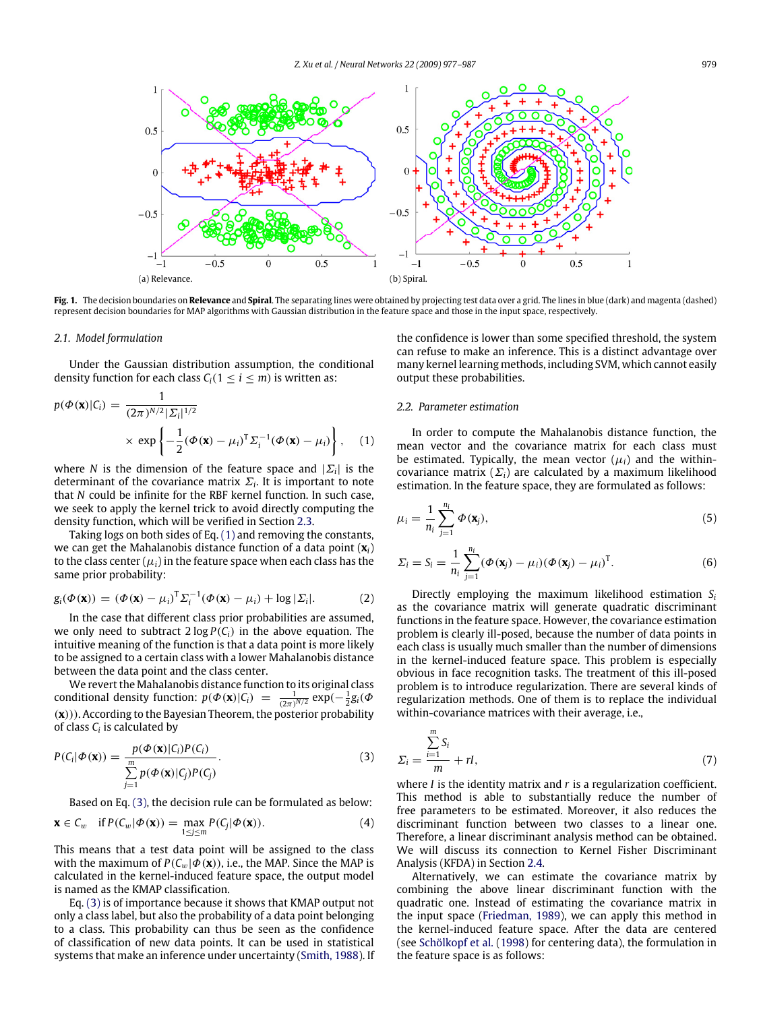

**Fig. 1.** The decision boundaries on **Relevance** and **Spiral**. The separating lines were obtained by projecting test data over a grid. The lines in blue (dark) and magenta (dashed) represent decision boundaries for MAP algorithms with Gaussian distribution in the feature space and those in the input space, respectively.

## *2.1. Model formulation*

Under the Gaussian distribution assumption, the conditional density function for each class  $C_i(1 \le i \le m)$  is written as:

$$
p(\Phi(\mathbf{x})|C_i) = \frac{1}{(2\pi)^{N/2} |\Sigma_i|^{1/2}} \times \exp\left\{-\frac{1}{2}(\Phi(\mathbf{x}) - \mu_i)^{\mathrm{T}} \Sigma_i^{-1}(\Phi(\mathbf{x}) - \mu_i)\right\}, \quad (1)
$$

where *N* is the dimension of the feature space and  $|\Sigma_i|$  is the determinant of the covariance matrix  $\mathit{\Sigma}_{i}.$  It is important to note that *N* could be infinite for the RBF kernel function. In such case, we seek to apply the kernel trick to avoid directly computing the density function, which will be verified in Section 2.3.

Taking logs on both sides of Eq. (1) and removing the constants, we can get the Mahalanobis distance function of a data point (**x***i*) to the class center  $(\mu_i)$  in the feature space when each class has the same prior probability:

$$
g_i(\Phi(\mathbf{x})) = (\Phi(\mathbf{x}) - \mu_i)^T \Sigma_i^{-1} (\Phi(\mathbf{x}) - \mu_i) + \log |\Sigma_i|.
$$
 (2)

In the case that different class prior probabilities are assumed, we only need to subtract  $2 \log P(C_i)$  in the above equation. The intuitive meaning of the function is that a data point is more likely to be assigned to a certain class with a lower Mahalanobis distance between the data point and the class center.

We revert the Mahalanobis distance function to its original class conditional density function:  $p(\Phi(\mathbf{x})|C_i) = \frac{1}{(2\pi)^{N/2}} \exp(-\frac{1}{2}g_i(\Phi(\mathbf{x}))$ (**x**))). According to the Bayesian Theorem, the posterior probability of class *C<sup>i</sup>* is calculated by

$$
P(C_i|\Phi(\mathbf{x})) = \frac{p(\Phi(\mathbf{x})|C_i)P(C_i)}{\sum_{j=1}^{m} p(\Phi(\mathbf{x})|C_j)P(C_j)}.
$$
\n(3)

Based on Eq. (3), the decision rule can be formulated as below:

$$
\mathbf{x} \in C_w \quad \text{if } P(C_w | \Phi(\mathbf{x})) = \max_{1 \le j \le m} P(C_j | \Phi(\mathbf{x})). \tag{4}
$$

This means that a test data point will be assigned to the class with the maximum of  $P(C_w | \Phi(\mathbf{x}))$ , i.e., the MAP. Since the MAP is calculated in the kernel-induced feature space, the output model is named as the KMAP classification.

Eq. (3) is of importance because it shows that KMAP output not only a class label, but also the probability of a data point belonging to a class. This probability can thus be seen as the confidence of classification of new data points. It can be used in statistical systems that make an inference under uncertainty (Smith, 1988). If the confidence is lower than some specified threshold, the system can refuse to make an inference. This is a distinct advantage over many kernel learning methods, including SVM, which cannot easily output these probabilities.

## *2.2. Parameter estimation*

In order to compute the Mahalanobis distance function, the mean vector and the covariance matrix for each class must be estimated. Typically, the mean vector  $(\mu_i)$  and the withincovariance matrix  $(\Sigma_i)$  are calculated by a maximum likelihood estimation. In the feature space, they are formulated as follows:

$$
\mu_i = \frac{1}{n_i} \sum_{j=1}^{n_i} \Phi(\mathbf{x}_j),\tag{5}
$$

$$
\Sigma_i = S_i = \frac{1}{n_i} \sum_{j=1}^{n_i} (\boldsymbol{\Phi}(\mathbf{x}_j) - \mu_i) (\boldsymbol{\Phi}(\mathbf{x}_j) - \mu_i)^{\mathrm{T}}.
$$
 (6)

Directly employing the maximum likelihood estimation *S<sup>i</sup>* as the covariance matrix will generate quadratic discriminant functions in the feature space. However, the covariance estimation problem is clearly ill-posed, because the number of data points in each class is usually much smaller than the number of dimensions in the kernel-induced feature space. This problem is especially obvious in face recognition tasks. The treatment of this ill-posed problem is to introduce regularization. There are several kinds of regularization methods. One of them is to replace the individual within-covariance matrices with their average, i.e.,

$$
\Sigma_i = \frac{\sum_{i=1}^{m} S_i}{m} + rI,\tag{7}
$$

where *I* is the identity matrix and *r* is a regularization coefficient. This method is able to substantially reduce the number of free parameters to be estimated. Moreover, it also reduces the discriminant function between two classes to a linear one. Therefore, a linear discriminant analysis method can be obtained. We will discuss its connection to Kernel Fisher Discriminant Analysis (KFDA) in Section 2.4.

Alternatively, we can estimate the covariance matrix by combining the above linear discriminant function with the quadratic one. Instead of estimating the covariance matrix in the input space (Friedman, 1989), we can apply this method in the kernel-induced feature space. After the data are centered (see Schölkopf et al. (1998) for centering data), the formulation in the feature space is as follows: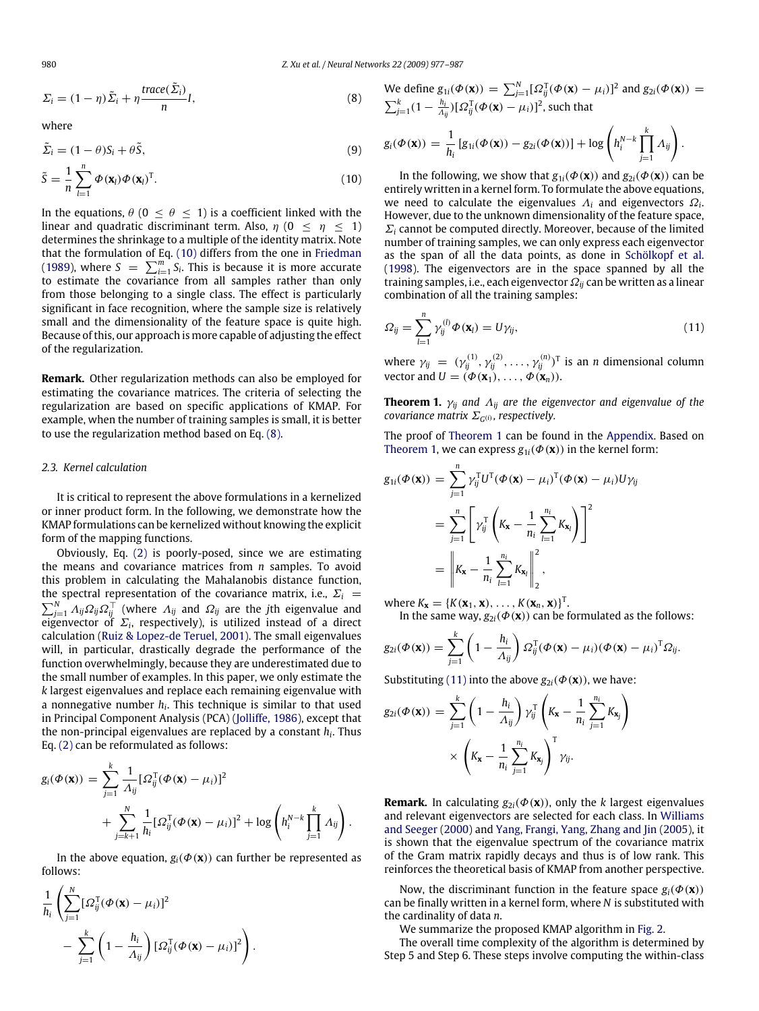$$
\Sigma_i = (1 - \eta) \tilde{\Sigma}_i + \eta \frac{\text{trace}(\tilde{\Sigma}_i)}{n} I,\tag{8}
$$

where

$$
\tilde{\Sigma}_i = (1 - \theta)S_i + \theta \tilde{S},\tag{9}
$$

$$
\tilde{S} = \frac{1}{n} \sum_{l=1}^{n} \Phi(\mathbf{x}_l) \Phi(\mathbf{x}_l)^{\mathrm{T}}.
$$
\n(10)

In the equations,  $\theta$  (0  $\leq \theta \leq$  1) is a coefficient linked with the linear and quadratic discriminant term. Also,  $\eta$  (0  $\leq \eta \leq 1$ ) determines the shrinkage to a multiple of the identity matrix. Note that the formulation of Eq. (10) differs from the one in Friedman (1989), where  $S = \sum_{i=1}^{m} S_i$ . This is because it is more accurate to estimate the covariance from all samples rather than only from those belonging to a single class. The effect is particularly significant in face recognition, where the sample size is relatively small and the dimensionality of the feature space is quite high. Because of this, our approach is more capable of adjusting the effect of the regularization.

**Remark.** Other regularization methods can also be employed for estimating the covariance matrices. The criteria of selecting the regularization are based on specific applications of KMAP. For example, when the number of training samples is small, it is better to use the regularization method based on Eq. (8).

## *2.3. Kernel calculation*

It is critical to represent the above formulations in a kernelized or inner product form. In the following, we demonstrate how the KMAP formulations can be kernelized without knowing the explicit form of the mapping functions.

Obviously, Eq. (2) is poorly-posed, since we are estimating the means and covariance matrices from *n* samples. To avoid this problem in calculating the Mahalanobis distance function, the spectral representation of the covariance matrix, i.e.,  $\Sigma_i$  =  $\sum_{j=1}^N A_{ij} \Omega_{ij} \Omega_{ij}^\top$  (where  $A_{ij}$  and  $\Omega_{ij}$  are the *j*th eigenvalue and eigenvector of  $\Sigma_i$ , respectively), is utilized instead of a direct calculation (Ruiz & Lopez-de Teruel, 2001). The small eigenvalues will, in particular, drastically degrade the performance of the function overwhelmingly, because they are underestimated due to the small number of examples. In this paper, we only estimate the *k* largest eigenvalues and replace each remaining eigenvalue with a nonnegative number *h<sup>i</sup>* . This technique is similar to that used in Principal Component Analysis (PCA) (Jolliffe, 1986), except that the non-principal eigenvalues are replaced by a constant *h<sup>i</sup>* . Thus Eq. (2) can be reformulated as follows:

$$
g_i(\Phi(\mathbf{x})) = \sum_{j=1}^k \frac{1}{\Lambda_{ij}} [\Omega_{ij}^{\mathrm{T}}(\Phi(\mathbf{x}) - \mu_i)]^2
$$
  
+ 
$$
\sum_{j=k+1}^N \frac{1}{h_i} [\Omega_{ij}^{\mathrm{T}}(\Phi(\mathbf{x}) - \mu_i)]^2 + \log \left( h_i^{N-k} \prod_{j=1}^k \Lambda_{ij} \right).
$$

In the above equation,  $g_i(\Phi(\mathbf{x}))$  can further be represented as follows:

$$
\frac{1}{h_i} \left( \sum_{j=1}^N [\Omega_{ij}^{\mathrm{T}}(\boldsymbol{\Phi}(\mathbf{x}) - \mu_i)]^2 - \sum_{j=1}^k \left( 1 - \frac{h_i}{\Lambda_{ij}} \right) [\Omega_{ij}^{\mathrm{T}}(\boldsymbol{\Phi}(\mathbf{x}) - \mu_i)]^2 \right).
$$

We define 
$$
g_{1i}(\Phi(\mathbf{x})) = \sum_{j=1}^{N} [\Omega_{ij}^{T}(\Phi(\mathbf{x}) - \mu_i)]^2
$$
 and  $g_{2i}(\Phi(\mathbf{x})) = \sum_{j=1}^{k} (1 - \frac{h_i}{\Lambda_{ij}}) [\Omega_{ij}^{T}(\Phi(\mathbf{x}) - \mu_i)]^2$ , such that

$$
g_i(\boldsymbol{\Phi}(\mathbf{x})) = \frac{1}{h_i} \left[ g_{1i}(\boldsymbol{\Phi}(\mathbf{x})) - g_{2i}(\boldsymbol{\Phi}(\mathbf{x})) \right] + \log \left( h_i^{N-k} \prod_{j=1}^k A_{ij} \right).
$$

In the following, we show that  $g_{1i}(\Phi(\mathbf{x}))$  and  $g_{2i}(\Phi(\mathbf{x}))$  can be entirely written in a kernel form. To formulate the above equations, we need to calculate the eigenvalues  $\Lambda_i$  and eigenvectors  $\Omega_i$ . However, due to the unknown dimensionality of the feature space,  $\Sigma_i$  cannot be computed directly. Moreover, because of the limited number of training samples, we can only express each eigenvector as the span of all the data points, as done in Schölkopf et al. (1998). The eigenvectors are in the space spanned by all the training samples, i.e., each eigenvector Ω*ij* can be written as a linear combination of all the training samples:

$$
\Omega_{ij} = \sum_{l=1}^{n} \gamma_{ij}^{(l)} \Phi(\mathbf{x}_l) = U \gamma_{ij}, \qquad (11)
$$

where  $\gamma_{ij} = (\gamma_{ij}^{(1)}, \gamma_{ij}^{(2)}, \dots, \gamma_{ij}^{(n)})^T$  is an *n* dimensional column vector and  $U = (\Phi(\mathbf{x}_1), \dots, \Phi(\mathbf{x}_n)).$ 

**Theorem 1.**  $\gamma_{ij}$  and  $\Lambda_{ij}$  are the eigenvector and eigenvalue of the *covariance matrix* Σ*<sup>G</sup>* (*i*)*, respectively.*

The proof of Theorem 1 can be found in the Appendix. Based on Theorem 1, we can express  $g_{1i}(\Phi(\mathbf{x}))$  in the kernel form:

$$
g_{1i}(\Phi(\mathbf{x})) = \sum_{j=1}^{n} \gamma_{ij}^{T} U^{T}(\Phi(\mathbf{x}) - \mu_{i})^{T}(\Phi(\mathbf{x}) - \mu_{i}) U \gamma_{ij}
$$
  
= 
$$
\sum_{j=1}^{n} \left[ \gamma_{ij}^{T} \left( K_{\mathbf{x}} - \frac{1}{n_{i}} \sum_{l=1}^{n_{i}} K_{\mathbf{x}_{l}} \right) \right]^{2}
$$
  
= 
$$
\left\| K_{\mathbf{x}} - \frac{1}{n_{i}} \sum_{l=1}^{n_{i}} K_{\mathbf{x}_{l}} \right\|_{2}^{2},
$$

where  $K_{\mathbf{x}} = \{K(\mathbf{x}_1, \mathbf{x}), \dots, K(\mathbf{x}_n, \mathbf{x})\}^T$ .

In the same way,  $g_{2i}(\Phi(\mathbf{x}))$  can be formulated as the follows:

$$
g_{2i}(\boldsymbol{\Phi}(\mathbf{x})) = \sum_{j=1}^k \left(1 - \frac{h_i}{A_{ij}}\right) \Omega_{ij}^{\mathrm{T}}(\boldsymbol{\Phi}(\mathbf{x}) - \mu_i)(\boldsymbol{\Phi}(\mathbf{x}) - \mu_i)^{\mathrm{T}} \Omega_{ij}.
$$

Substituting (11) into the above  $g_{2i}(\Phi(\mathbf{x}))$ , we have:

$$
g_{2i}(\Phi(\mathbf{x})) = \sum_{j=1}^{k} \left(1 - \frac{h_i}{\Lambda_{ij}}\right) \gamma_{ij}^{T} \left(K_{\mathbf{x}} - \frac{1}{n_i} \sum_{j=1}^{n_i} K_{\mathbf{x}_j}\right)
$$

$$
\times \left(K_{\mathbf{x}} - \frac{1}{n_i} \sum_{j=1}^{n_i} K_{\mathbf{x}_j}\right)^{T} \gamma_{ij}.
$$

**Remark.** In calculating  $g_{2i}(\Phi(\mathbf{x}))$ , only the *k* largest eigenvalues and relevant eigenvectors are selected for each class. In Williams and Seeger (2000) and Yang, Frangi, Yang, Zhang and Jin (2005), it is shown that the eigenvalue spectrum of the covariance matrix of the Gram matrix rapidly decays and thus is of low rank. This reinforces the theoretical basis of KMAP from another perspective.

Now, the discriminant function in the feature space  $g_i(\Phi(\mathbf{x}))$ can be finally written in a kernel form, where *N* is substituted with the cardinality of data *n*.

We summarize the proposed KMAP algorithm in Fig. 2.

The overall time complexity of the algorithm is determined by Step 5 and Step 6. These steps involve computing the within-class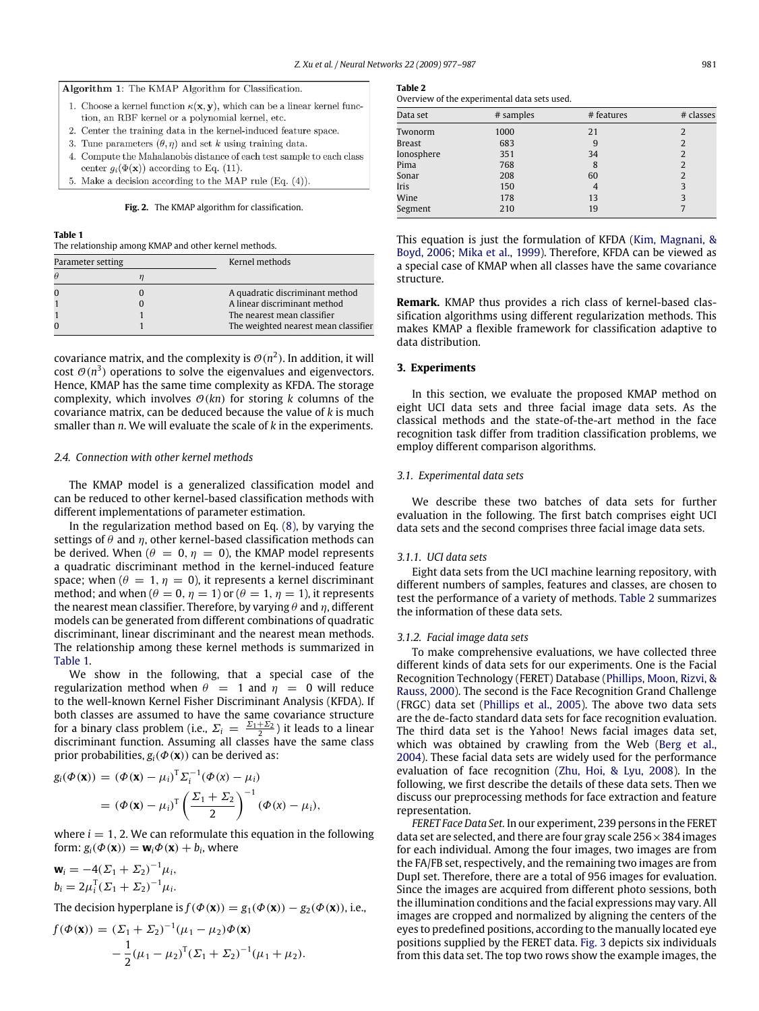

- 1. Choose a kernel function  $\kappa(\mathbf{x}, \mathbf{y})$ , which can be a linear kernel function, an RBF kernel or a polynomial kernel, etc.
- 2. Center the training data in the kernel-induced feature space.
- 3. Tune parameters  $(\theta, \eta)$  and set k using training data.
- 4. Compute the Mahalanobis distance of each test sample to each class center  $g_i(\Phi(\mathbf{x}))$  according to Eq. (11).
- 5. Make a decision according to the MAP rule (Eq.  $(4)$ ).

**Fig. 2.** The KMAP algorithm for classification.

#### **Table 1**

The relationship among KMAP and other kernel methods.

| Parameter setting |  | Kernel methods                       |
|-------------------|--|--------------------------------------|
|                   |  |                                      |
|                   |  | A quadratic discriminant method      |
|                   |  | A linear discriminant method         |
|                   |  | The nearest mean classifier          |
|                   |  | The weighted nearest mean classifier |

covariance matrix, and the complexity is  $\mathcal{O}(n^2)$ . In addition, it will cost  $\mathcal{O}(n^3)$  operations to solve the eigenvalues and eigenvectors. Hence, KMAP has the same time complexity as KFDA. The storage complexity, which involves  $O(kn)$  for storing *k* columns of the covariance matrix, can be deduced because the value of *k* is much smaller than *n*. We will evaluate the scale of *k* in the experiments.

#### *2.4. Connection with other kernel methods*

The KMAP model is a generalized classification model and can be reduced to other kernel-based classification methods with different implementations of parameter estimation.

In the regularization method based on Eq. (8), by varying the settings of  $\theta$  and  $\eta$ , other kernel-based classification methods can be derived. When ( $\theta = 0$ ,  $\eta = 0$ ), the KMAP model represents a quadratic discriminant method in the kernel-induced feature space; when ( $\theta = 1$ ,  $\eta = 0$ ), it represents a kernel discriminant method; and when  $(\theta = 0, \eta = 1)$  or  $(\theta = 1, \eta = 1)$ , it represents the nearest mean classifier. Therefore, by varying  $\theta$  and  $\eta$ , different models can be generated from different combinations of quadratic discriminant, linear discriminant and the nearest mean methods. The relationship among these kernel methods is summarized in Table 1.

We show in the following, that a special case of the regularization method when  $\theta = 1$  and  $\eta = 0$  will reduce to the well-known Kernel Fisher Discriminant Analysis (KFDA). If both classes are assumed to have the same covariance structure for a binary class problem (i.e.,  $\Sigma_i = \frac{\Sigma_1 + \Sigma_2}{2}$ ) it leads to a linear discriminant function. Assuming all classes have the same class prior probabilities,  $g_i(\Phi(\mathbf{x}))$  can be derived as:

$$
g_i(\Phi(\mathbf{x})) = (\Phi(\mathbf{x}) - \mu_i)^T \Sigma_i^{-1} (\Phi(\mathbf{x}) - \mu_i)
$$
  
=  $(\Phi(\mathbf{x}) - \mu_i)^T \left(\frac{\Sigma_1 + \Sigma_2}{2}\right)^{-1} (\Phi(\mathbf{x}) - \mu_i),$ 

where  $i = 1, 2$ . We can reformulate this equation in the following form:  $g_i(\Phi(\mathbf{x})) = \mathbf{w}_i \Phi(\mathbf{x}) + b_i$ , where

$$
\mathbf{w}_i = -4(\Sigma_1 + \Sigma_2)^{-1}\mu_i,
$$
  
\n
$$
b_i = 2\mu_i^T(\Sigma_1 + \Sigma_2)^{-1}\mu_i.
$$

The decision hyperplane is  $f(\Phi(\mathbf{x})) = g_1(\Phi(\mathbf{x})) - g_2(\Phi(\mathbf{x}))$ , i.e.,

$$
f(\Phi(\mathbf{x})) = (\Sigma_1 + \Sigma_2)^{-1}(\mu_1 - \mu_2)\Phi(\mathbf{x})
$$
  
 
$$
-\frac{1}{2}(\mu_1 - \mu_2)^T(\Sigma_1 + \Sigma_2)^{-1}(\mu_1 + \mu_2).
$$

#### **Table 2**

Overview of the experimental data sets used.

| Data set   | # samples | # features     | # classes      |
|------------|-----------|----------------|----------------|
| Twonorm    | 1000      | 21             |                |
| Breast     | 683       | 9              | $\overline{2}$ |
| Ionosphere | 351       | 34             | 2              |
| Pima       | 768       | 8              | 2              |
| Sonar      | 208       | 60             | $\overline{2}$ |
| Iris       | 150       | $\overline{4}$ | 3              |
| Wine       | 178       | 13             | 3              |
| Segment    | 210       | 19             |                |

This equation is just the formulation of KFDA (Kim, Magnani, & Boyd, 2006; Mika et al., 1999). Therefore, KFDA can be viewed as a special case of KMAP when all classes have the same covariance structure.

**Remark.** KMAP thus provides a rich class of kernel-based classification algorithms using different regularization methods. This makes KMAP a flexible framework for classification adaptive to data distribution.

## **3. Experiments**

In this section, we evaluate the proposed KMAP method on eight UCI data sets and three facial image data sets. As the classical methods and the state-of-the-art method in the face recognition task differ from tradition classification problems, we employ different comparison algorithms.

## *3.1. Experimental data sets*

We describe these two batches of data sets for further evaluation in the following. The first batch comprises eight UCI data sets and the second comprises three facial image data sets.

## *3.1.1. UCI data sets*

Eight data sets from the UCI machine learning repository, with different numbers of samples, features and classes, are chosen to test the performance of a variety of methods. Table 2 summarizes the information of these data sets.

## *3.1.2. Facial image data sets*

To make comprehensive evaluations, we have collected three different kinds of data sets for our experiments. One is the Facial Recognition Technology (FERET) Database (Phillips, Moon, Rizvi, & Rauss, 2000). The second is the Face Recognition Grand Challenge (FRGC) data set (Phillips et al., 2005). The above two data sets are the de-facto standard data sets for face recognition evaluation. The third data set is the Yahoo! News facial images data set, which was obtained by crawling from the Web (Berg et al., 2004). These facial data sets are widely used for the performance evaluation of face recognition (Zhu, Hoi, & Lyu, 2008). In the following, we first describe the details of these data sets. Then we discuss our preprocessing methods for face extraction and feature representation.

*FERET Face Data Set.* In our experiment, 239 persons in the FERET data set are selected, and there are four gray scale  $256 \times 384$  images for each individual. Among the four images, two images are from the FA/FB set, respectively, and the remaining two images are from DupI set. Therefore, there are a total of 956 images for evaluation. Since the images are acquired from different photo sessions, both the illumination conditions and the facial expressions may vary. All images are cropped and normalized by aligning the centers of the eyes to predefined positions, according to the manually located eye positions supplied by the FERET data. Fig. 3 depicts six individuals from this data set. The top two rows show the example images, the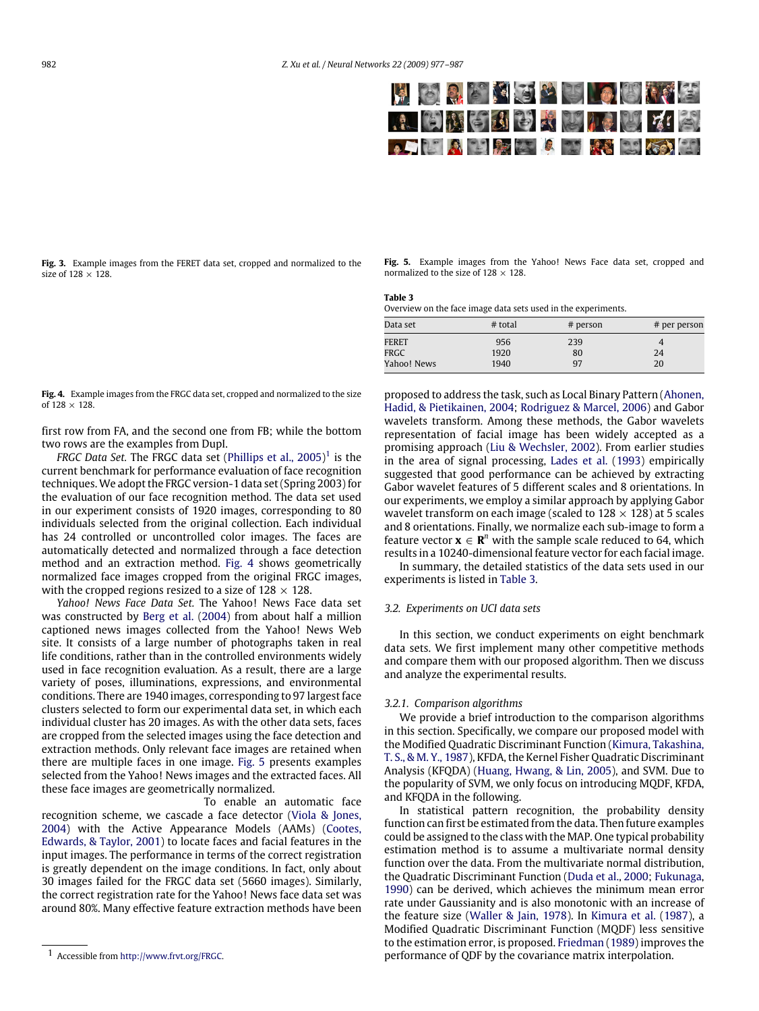**Fig. 3.** Example images from the FERET data set, cropped and normalized to the size of  $128 \times 128$ .

**Fig. 5.** Example images from the Yahoo! News Face data set, cropped and normalized to the size of  $128 \times 128$ .

| Table 3                                                       |  |
|---------------------------------------------------------------|--|
| Overview on the face image data sets used in the experiments. |  |

| Data set    | $#$ total | $#$ person | # per person |
|-------------|-----------|------------|--------------|
| FERET       | 956       | 239        | 4            |
| FRGC        | 1920      | 80         | 24           |
| Yahoo! News | 1940      | 97         | 20           |

**Fig. 4.** Example images from the FRGC data set, cropped and normalized to the size of  $128 \times 128$ .

first row from FA, and the second one from FB; while the bottom two rows are the examples from DupI.

FRGC Data Set. The FRGC data set (Phillips et al., 2005)<sup>1</sup> is the current benchmark for performance evaluation of face recognition techniques. We adopt the FRGC version-1 data set (Spring 2003) for the evaluation of our face recognition method. The data set used in our experiment consists of 1920 images, corresponding to 80 individuals selected from the original collection. Each individual has 24 controlled or uncontrolled color images. The faces are automatically detected and normalized through a face detection method and an extraction method. Fig. 4 shows geometrically normalized face images cropped from the original FRGC images, with the cropped regions resized to a size of  $128 \times 128$ .

*Yahoo! News Face Data Set.* The Yahoo! News Face data set was constructed by Berg et al. (2004) from about half a million captioned news images collected from the Yahoo! News Web site. It consists of a large number of photographs taken in real life conditions, rather than in the controlled environments widely used in face recognition evaluation. As a result, there are a large variety of poses, illuminations, expressions, and environmental conditions. There are 1940 images, corresponding to 97 largest face clusters selected to form our experimental data set, in which each individual cluster has 20 images. As with the other data sets, faces are cropped from the selected images using the face detection and extraction methods. Only relevant face images are retained when there are multiple faces in one image. Fig. 5 presents examples selected from the Yahoo! News images and the extracted faces. All these face images are geometrically normalized.

Facial Feature Extraction. To enable an automatic face recognition scheme, we cascade a face detector (Viola & Jones, 2004) with the Active Appearance Models (AAMs) (Cootes, Edwards, & Taylor, 2001) to locate faces and facial features in the input images. The performance in terms of the correct registration is greatly dependent on the image conditions. In fact, only about 30 images failed for the FRGC data set (5660 images). Similarly, the correct registration rate for the Yahoo! News face data set was around 80%. Many effective feature extraction methods have been proposed to address the task, such as Local Binary Pattern (Ahonen, Hadid, & Pietikainen, 2004; Rodriguez & Marcel, 2006) and Gabor wavelets transform. Among these methods, the Gabor wavelets representation of facial image has been widely accepted as a promising approach (Liu & Wechsler, 2002). From earlier studies in the area of signal processing, Lades et al. (1993) empirically suggested that good performance can be achieved by extracting Gabor wavelet features of 5 different scales and 8 orientations. In our experiments, we employ a similar approach by applying Gabor wavelet transform on each image (scaled to  $128 \times 128$ ) at 5 scales and 8 orientations. Finally, we normalize each sub-image to form a feature vector  $\mathbf{x} \in \mathbb{R}^n$  with the sample scale reduced to 64, which results in a 10240-dimensional feature vector for each facial image.

In summary, the detailed statistics of the data sets used in our experiments is listed in Table 3.

## *3.2. Experiments on UCI data sets*

In this section, we conduct experiments on eight benchmark data sets. We first implement many other competitive methods and compare them with our proposed algorithm. Then we discuss and analyze the experimental results.

## *3.2.1. Comparison algorithms*

We provide a brief introduction to the comparison algorithms in this section. Specifically, we compare our proposed model with the Modified Quadratic Discriminant Function (Kimura, Takashina, T. S., & M. Y., 1987), KFDA, the Kernel Fisher Quadratic Discriminant Analysis (KFQDA) (Huang, Hwang, & Lin, 2005), and SVM. Due to the popularity of SVM, we only focus on introducing MQDF, KFDA, and KFQDA in the following.

In statistical pattern recognition, the probability density function can first be estimated from the data. Then future examples could be assigned to the class with the MAP. One typical probability estimation method is to assume a multivariate normal density function over the data. From the multivariate normal distribution, the Quadratic Discriminant Function (Duda et al., 2000; Fukunaga, 1990) can be derived, which achieves the minimum mean error rate under Gaussianity and is also monotonic with an increase of the feature size (Waller & Jain, 1978). In Kimura et al. (1987), a Modified Quadratic Discriminant Function (MQDF) less sensitive to the estimation error, is proposed. Friedman (1989) improves the performance of QDF by the covariance matrix interpolation.

<sup>1</sup> Accessible from http://www.frvt.org/FRGC.